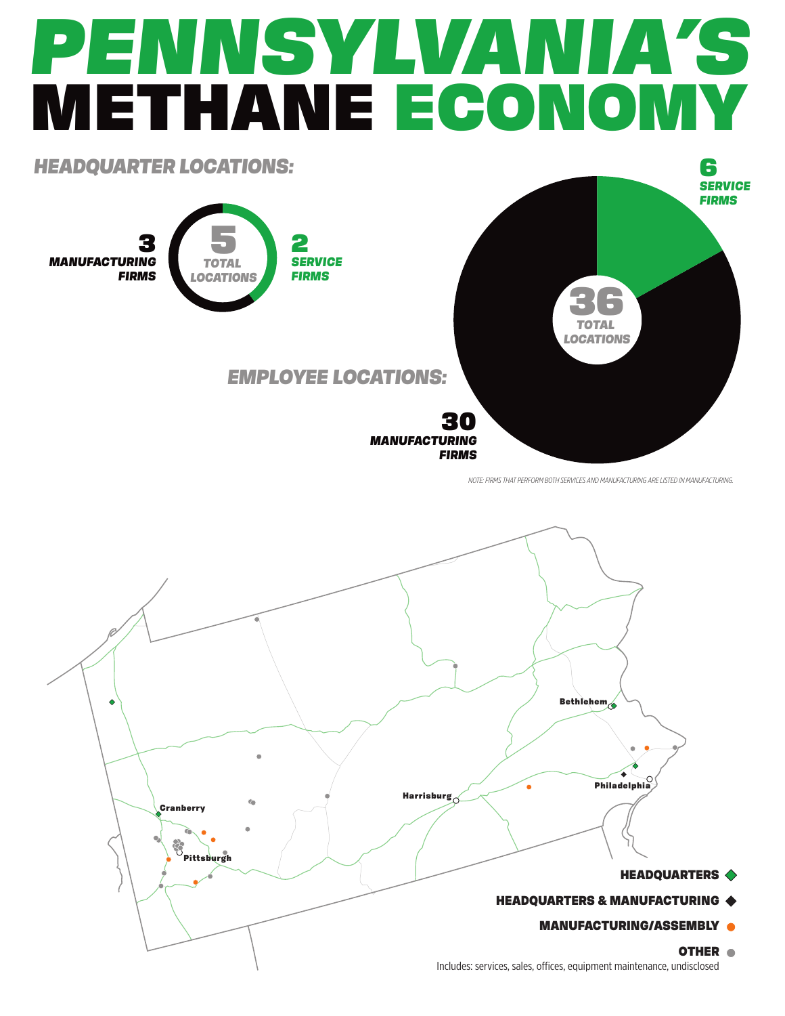## *PENNSYLVANIA'S* METHANE ECONOMY



*NOTE: FIRMS THAT PERFORM BOTH SERVICES AND MANUFACTURING ARE LISTED IN MANUFACTURING.*



Includes: services, sales, offices, equipment maintenance, undisclosed